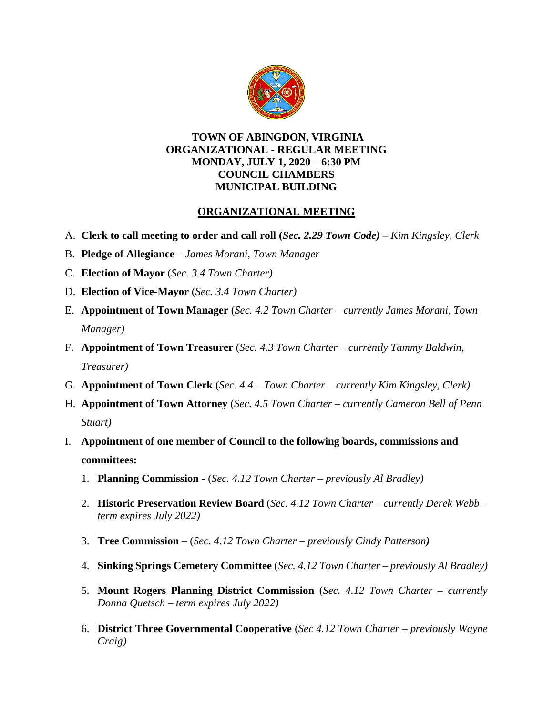

#### **TOWN OF ABINGDON, VIRGINIA ORGANIZATIONAL - REGULAR MEETING MONDAY, JULY 1, 2020 – 6:30 PM COUNCIL CHAMBERS MUNICIPAL BUILDING**

### **ORGANIZATIONAL MEETING**

- A. **Clerk to call meeting to order and call roll (***Sec. 2.29 Town Code)* **–** *Kim Kingsley, Clerk*
- B. **Pledge of Allegiance –** *James Morani, Town Manager*
- C. **Election of Mayor** (*Sec. 3.4 Town Charter)*
- D. **Election of Vice-Mayor** (*Sec. 3.4 Town Charter)*
- E. **Appointment of Town Manager** (*Sec. 4.2 Town Charter – currently James Morani, Town Manager)*
- F. **Appointment of Town Treasurer** (*Sec. 4.3 Town Charter – currently Tammy Baldwin, Treasurer)*
- G. **Appointment of Town Clerk** (*Sec. 4.4 – Town Charter – currently Kim Kingsley, Clerk)*
- H. **Appointment of Town Attorney** (*Sec. 4.5 Town Charter – currently Cameron Bell of Penn Stuart)*
- I. **Appointment of one member of Council to the following boards, commissions and committees:**
	- 1. **Planning Commission**  (*Sec. 4.12 Town Charter – previously Al Bradley)*
	- 2. **Historic Preservation Review Board** (*Sec. 4.12 Town Charter – currently Derek Webb – term expires July 2022)*
	- 3. **Tree Commission** (*Sec. 4.12 Town Charter – previously Cindy Patterson)*
	- 4. **Sinking Springs Cemetery Committee** (*Sec. 4.12 Town Charter – previously Al Bradley)*
	- 5. **Mount Rogers Planning District Commission** (*Sec. 4.12 Town Charter – currently Donna Quetsch – term expires July 2022)*
	- 6. **District Three Governmental Cooperative** (*Sec 4.12 Town Charter – previously Wayne Craig)*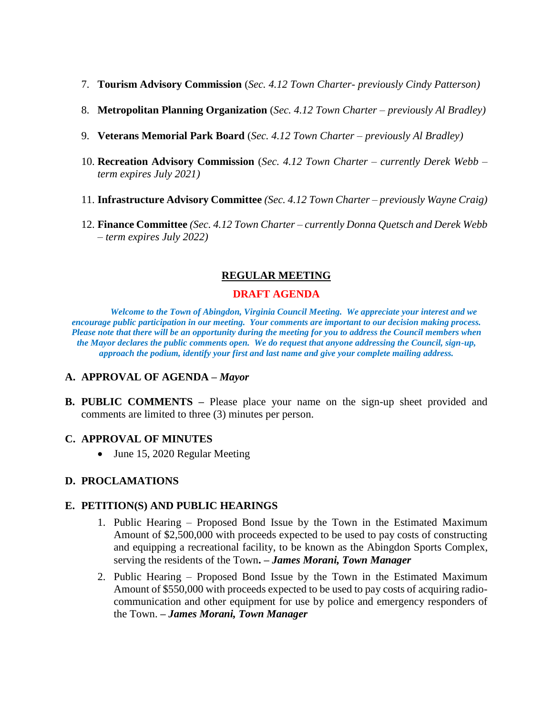- 7. **Tourism Advisory Commission** (*Sec. 4.12 Town Charter- previously Cindy Patterson)*
- 8. **Metropolitan Planning Organization** (*Sec. 4.12 Town Charter – previously Al Bradley)*
- 9. **Veterans Memorial Park Board** (*Sec. 4.12 Town Charter – previously Al Bradley)*
- 10. **Recreation Advisory Commission** (*Sec. 4.12 Town Charter – currently Derek Webb – term expires July 2021)*
- 11. **Infrastructure Advisory Committee** *(Sec. 4.12 Town Charter – previously Wayne Craig)*
- 12. **Finance Committee** *(Sec. 4.12 Town Charter – currently Donna Quetsch and Derek Webb – term expires July 2022)*

### **REGULAR MEETING**

### **DRAFT AGENDA**

*Welcome to the Town of Abingdon, Virginia Council Meeting. We appreciate your interest and we encourage public participation in our meeting. Your comments are important to our decision making process. Please note that there will be an opportunity during the meeting for you to address the Council members when the Mayor declares the public comments open. We do request that anyone addressing the Council, sign-up, approach the podium, identify your first and last name and give your complete mailing address.* 

### **A. APPROVAL OF AGENDA –** *Mayor*

**B. PUBLIC COMMENTS –** Please place your name on the sign-up sheet provided and comments are limited to three (3) minutes per person.

#### **C. APPROVAL OF MINUTES**

• June 15, 2020 Regular Meeting

### **D. PROCLAMATIONS**

#### **E. PETITION(S) AND PUBLIC HEARINGS**

- 1. Public Hearing Proposed Bond Issue by the Town in the Estimated Maximum Amount of \$2,500,000 with proceeds expected to be used to pay costs of constructing and equipping a recreational facility, to be known as the Abingdon Sports Complex, serving the residents of the Town**. –** *James Morani, Town Manager*
- 2. Public Hearing Proposed Bond Issue by the Town in the Estimated Maximum Amount of \$550,000 with proceeds expected to be used to pay costs of acquiring radiocommunication and other equipment for use by police and emergency responders of the Town. **–** *James Morani, Town Manager*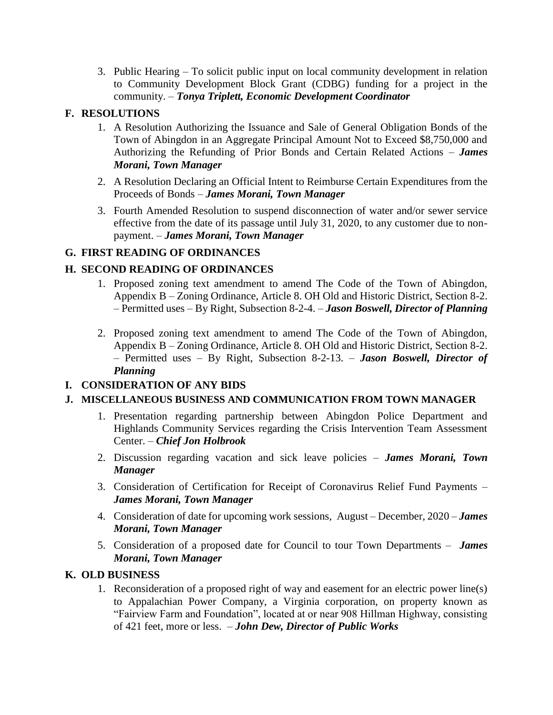3. Public Hearing – To solicit public input on local community development in relation to Community Development Block Grant (CDBG) funding for a project in the community. – *Tonya Triplett, Economic Development Coordinator*

### **F. RESOLUTIONS**

- 1. A Resolution Authorizing the Issuance and Sale of General Obligation Bonds of the Town of Abingdon in an Aggregate Principal Amount Not to Exceed \$8,750,000 and Authorizing the Refunding of Prior Bonds and Certain Related Actions – *James Morani, Town Manager*
- 2. A Resolution Declaring an Official Intent to Reimburse Certain Expenditures from the Proceeds of Bonds – *James Morani, Town Manager*
- 3. Fourth Amended Resolution to suspend disconnection of water and/or sewer service effective from the date of its passage until July 31, 2020, to any customer due to nonpayment. – *James Morani, Town Manager*

## **G. FIRST READING OF ORDINANCES**

## **H. SECOND READING OF ORDINANCES**

- 1. Proposed zoning text amendment to amend The Code of the Town of Abingdon, Appendix B – Zoning Ordinance, Article 8. OH Old and Historic District, Section 8-2. – Permitted uses – By Right, Subsection 8-2-4. – *Jason Boswell, Director of Planning*
- 2. Proposed zoning text amendment to amend The Code of the Town of Abingdon, Appendix B – Zoning Ordinance, Article 8. OH Old and Historic District, Section 8-2. – Permitted uses – By Right, Subsection 8-2-13. – *Jason Boswell, Director of Planning*

# **I. CONSIDERATION OF ANY BIDS**

## **J. MISCELLANEOUS BUSINESS AND COMMUNICATION FROM TOWN MANAGER**

- 1. Presentation regarding partnership between Abingdon Police Department and Highlands Community Services regarding the Crisis Intervention Team Assessment Center. – *Chief Jon Holbrook*
- 2. Discussion regarding vacation and sick leave policies *James Morani, Town Manager*
- 3. Consideration of Certification for Receipt of Coronavirus Relief Fund Payments *James Morani, Town Manager*
- 4. Consideration of date for upcoming work sessions, August December, 2020 *James Morani, Town Manager*
- 5. Consideration of a proposed date for Council to tour Town Departments *James Morani, Town Manager*

### **K. OLD BUSINESS**

1. Reconsideration of a proposed right of way and easement for an electric power line(s) to Appalachian Power Company, a Virginia corporation, on property known as "Fairview Farm and Foundation", located at or near 908 Hillman Highway, consisting of 421 feet, more or less. – *John Dew, Director of Public Works*